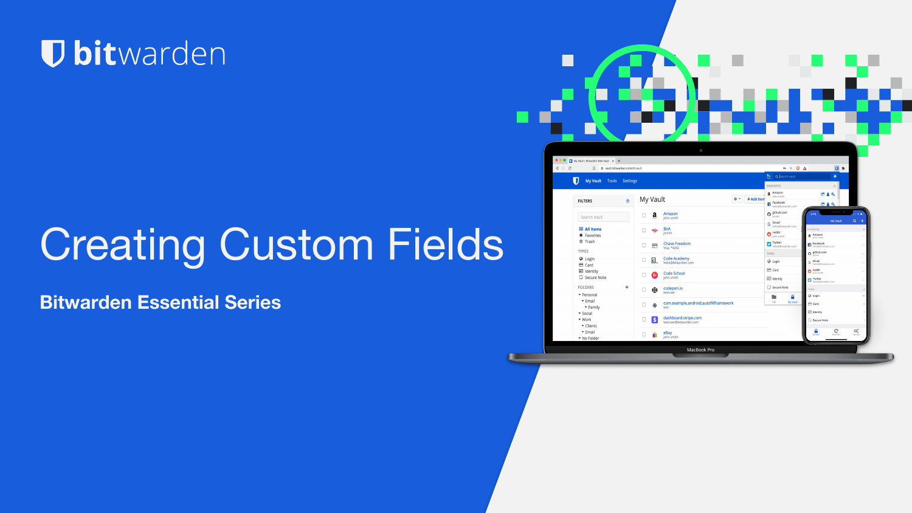#### **U bit**warden

# Creating Custom Fields

**Bitwarden Essential Series**

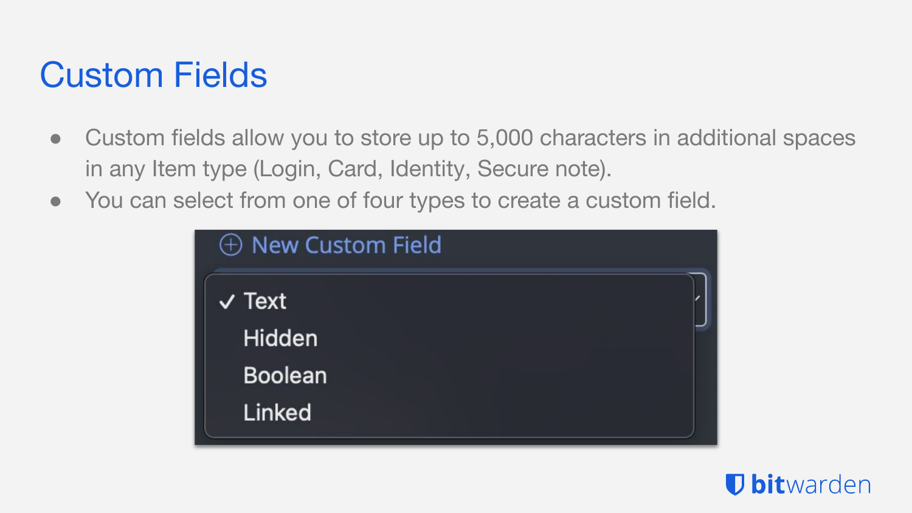# Custom Fields

- Custom fields allow you to store up to 5,000 characters in additional spaces in any Item type (Login, Card, Identity, Secure note).
- You can select from one of four types to create a custom field.

| $\oplus$ New Custom Field |  |
|---------------------------|--|
| $\vee$ Text               |  |
| Hidden                    |  |
| <b>Boolean</b>            |  |
| Linked                    |  |

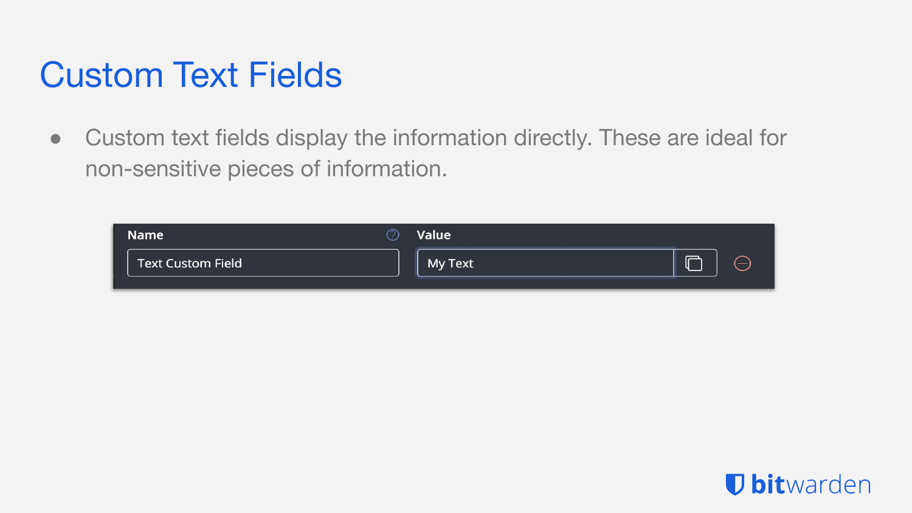# Custom Text Fields

● Custom text fields display the information directly. These are ideal for non-sensitive pieces of information.



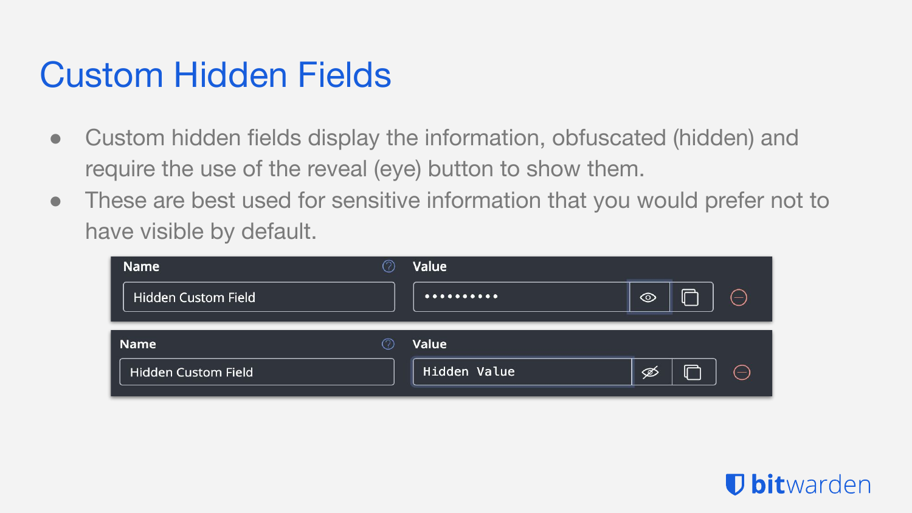### Custom Hidden Fields

- Custom hidden fields display the information, obfuscated (hidden) and require the use of the reveal (eye) button to show them.
- These are best used for sensitive information that you would prefer not to have visible by default.

| <b>Name</b>                |   | Value        |         |   |    |
|----------------------------|---|--------------|---------|---|----|
| <b>Hidden Custom Field</b> |   | $.$          | $\odot$ | ᆮ | (— |
|                            |   |              |         |   |    |
| <b>Name</b>                | 7 | <b>Value</b> |         |   |    |
| Hidden Custom Field        |   | Hidden Value | ∅       |   | ⇔  |

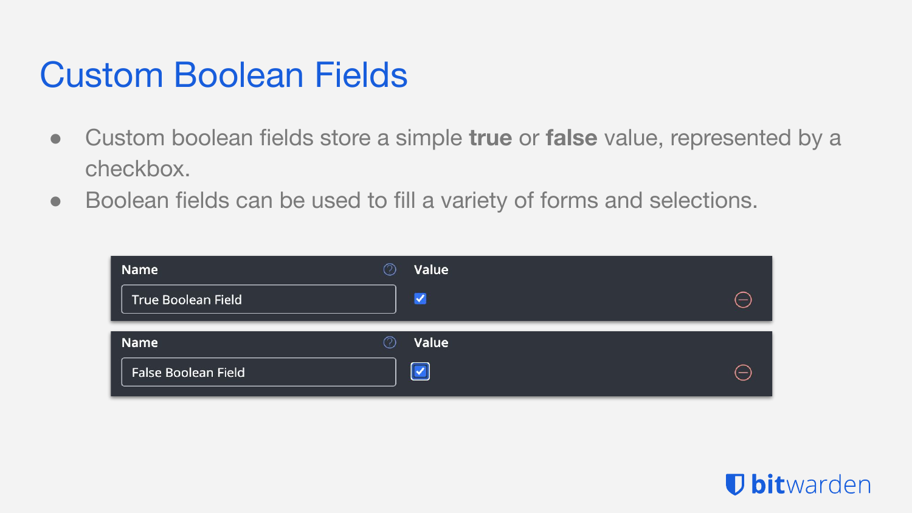#### Custom Boolean Fields

- Custom boolean fields store a simple **true** or **false** value, represented by a checkbox.
- Boolean fields can be used to fill a variety of forms and selections.

| <b>Name</b>         | $\circledcirc$ | Value                 |                          |
|---------------------|----------------|-----------------------|--------------------------|
| True Boolean Field  |                | $\blacktriangledown$  | $\equiv$                 |
| Name                | ⊘              | Value                 |                          |
| False Boolean Field |                | $ \blacktriangledown$ | $\overline{\phantom{0}}$ |

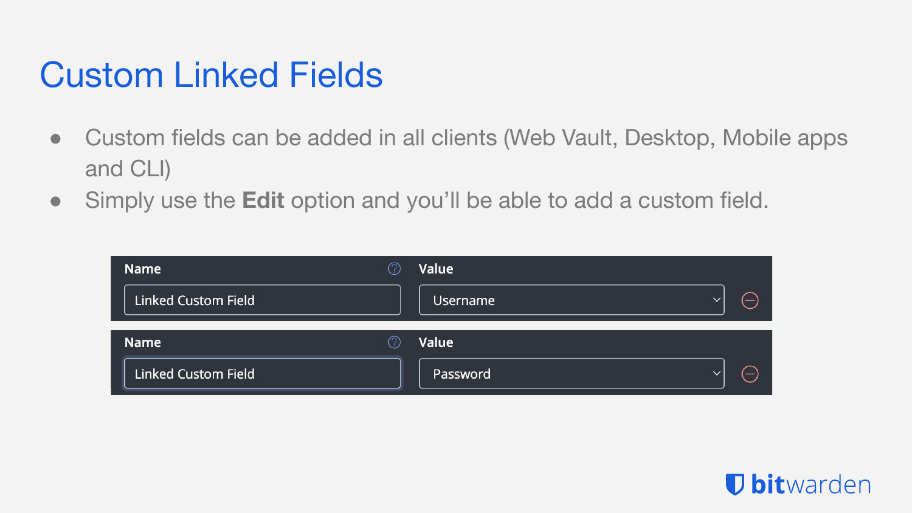# Custom Linked Fields

- Custom fields can be added in all clients (Web Vault, Desktop, Mobile apps and CLI)
- Simply use the **Edit** option and you'll be able to add a custom field.

| <b>Name</b>                | O,  | Value                    |               |
|----------------------------|-----|--------------------------|---------------|
| <b>Linked Custom Field</b> |     | Username<br>$\check{ }$  | $\equiv$      |
| <b>Name</b>                | (?, | Value                    |               |
| <b>Linked Custom Field</b> |     | Password<br>$\checkmark$ | $\overline{}$ |

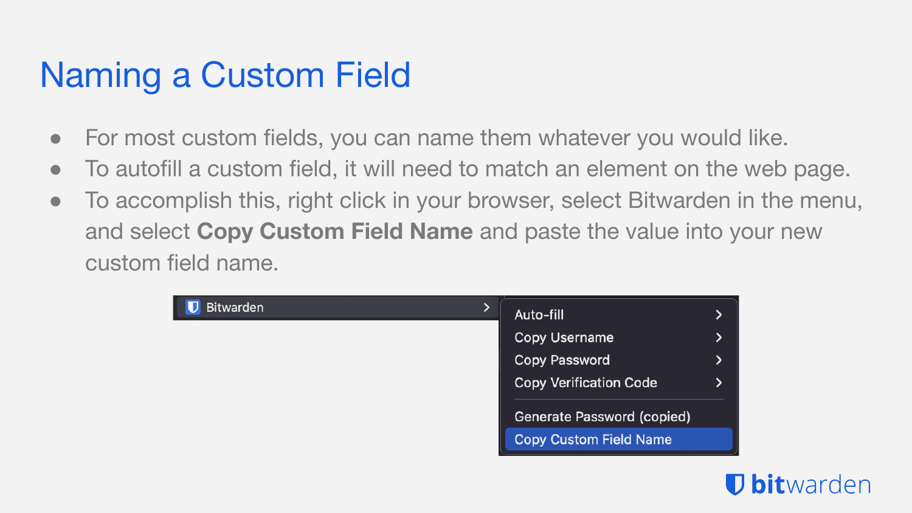# Naming a Custom Field

- For most custom fields, you can name them whatever you would like.
- To autofill a custom field, it will need to match an element on the web page.
- To accomplish this, right click in your browser, select Bitwarden in the menu, and select **Copy Custom Field Name** and paste the value into your new custom field name.